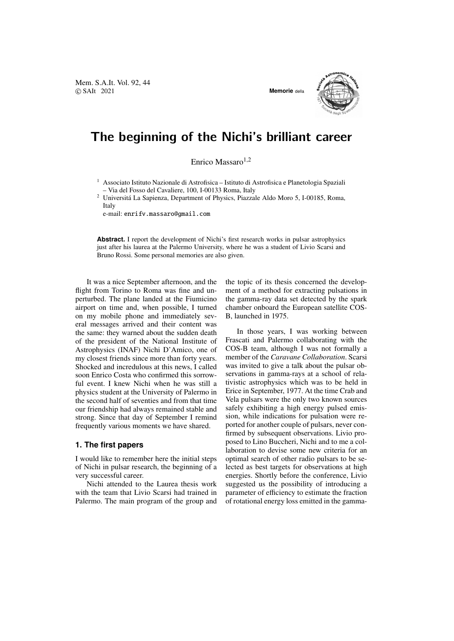Mem. S.A.It. Vol. 92, 44 © SAIt 2021 **Memorie** della



## The beginning of the Nichi's brilliant career

Enrico Massaro $1,2$ 

<sup>1</sup> Associato Istituto Nazionale di Astrofisica – Istituto di Astrofisica e Planetologia Spaziali – Via del Fosso del Cavaliere, 100, I-00133 Roma, Italy

<sup>2</sup> Universita La Sapienza, Department of Physics, Piazzale Aldo Moro 5, I-00185, Roma, ´ Italy

e-mail: enrifv.massaro@gmail.com

**Abstract.** I report the development of Nichi's first research works in pulsar astrophysics just after his laurea at the Palermo University, where he was a student of Livio Scarsi and Bruno Rossi. Some personal memories are also given.

It was a nice September afternoon, and the flight from Torino to Roma was fine and unperturbed. The plane landed at the Fiumicino airport on time and, when possible, I turned on my mobile phone and immediately several messages arrived and their content was the same: they warned about the sudden death of the president of the National Institute of Astrophysics (INAF) Nichi D'Amico, one of my closest friends since more than forty years. Shocked and incredulous at this news, I called soon Enrico Costa who confirmed this sorrowful event. I knew Nichi when he was still a physics student at the University of Palermo in the second half of seventies and from that time our friendship had always remained stable and strong. Since that day of September I remind frequently various moments we have shared.

## **1. The first papers**

I would like to remember here the initial steps of Nichi in pulsar research, the beginning of a very successful career.

Nichi attended to the Laurea thesis work with the team that Livio Scarsi had trained in Palermo. The main program of the group and the topic of its thesis concerned the development of a method for extracting pulsations in the gamma-ray data set detected by the spark chamber onboard the European satellite COS-B, launched in 1975.

In those years, I was working between Frascati and Palermo collaborating with the COS-B team, although I was not formally a member of the *Caravane Collaboration*. Scarsi was invited to give a talk about the pulsar observations in gamma-rays at a school of relativistic astrophysics which was to be held in Erice in September, 1977. At the time Crab and Vela pulsars were the only two known sources safely exhibiting a high energy pulsed emission, while indications for pulsation were reported for another couple of pulsars, never confirmed by subsequent observations. Livio proposed to Lino Buccheri, Nichi and to me a collaboration to devise some new criteria for an optimal search of other radio pulsars to be selected as best targets for observations at high energies. Shortly before the conference, Livio suggested us the possibility of introducing a parameter of efficiency to estimate the fraction of rotational energy loss emitted in the gamma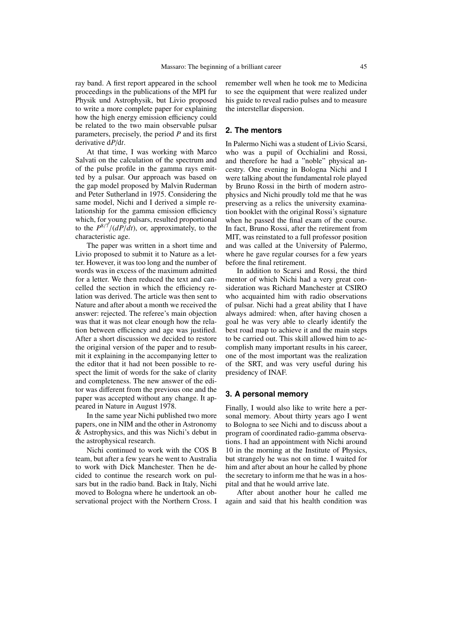ray band. A first report appeared in the school proceedings in the publications of the MPI fur Physik und Astrophysik, but Livio proposed to write a more complete paper for explaining how the high energy emission efficiency could be related to the two main observable pulsar parameters, precisely, the period *P* and its first derivative d*P*/d*t*.

At that time, I was working with Marco Salvati on the calculation of the spectrum and of the pulse profile in the gamma rays emitted by a pulsar. Our approach was based on the gap model proposed by Malvin Ruderman and Peter Sutherland in 1975. Considering the same model, Nichi and I derived a simple relationship for the gamma emission efficiency which, for young pulsars, resulted proportional to the  $P^{8/7}/(dP/dt)$ , or, approximately, to the characteristic age characteristic age.

The paper was written in a short time and Livio proposed to submit it to Nature as a letter. However, it was too long and the number of words was in excess of the maximum admitted for a letter. We then reduced the text and cancelled the section in which the efficiency relation was derived. The article was then sent to Nature and after about a month we received the answer: rejected. The referee's main objection was that it was not clear enough how the relation between efficiency and age was justified. After a short discussion we decided to restore the original version of the paper and to resubmit it explaining in the accompanying letter to the editor that it had not been possible to respect the limit of words for the sake of clarity and completeness. The new answer of the editor was different from the previous one and the paper was accepted without any change. It appeared in Nature in August 1978.

In the same year Nichi published two more papers, one in NIM and the other in Astronomy & Astrophysics, and this was Nichi's debut in the astrophysical research.

Nichi continued to work with the COS B team, but after a few years he went to Australia to work with Dick Manchester. Then he decided to continue the research work on pulsars but in the radio band. Back in Italy, Nichi moved to Bologna where he undertook an observational project with the Northern Cross. I remember well when he took me to Medicina to see the equipment that were realized under his guide to reveal radio pulses and to measure the interstellar dispersion.

## **2. The mentors**

In Palermo Nichi was a student of Livio Scarsi, who was a pupil of Occhialini and Rossi, and therefore he had a "noble" physical ancestry. One evening in Bologna Nichi and I were talking about the fundamental role played by Bruno Rossi in the birth of modern astrophysics and Nichi proudly told me that he was preserving as a relics the university examination booklet with the original Rossi's signature when he passed the final exam of the course. In fact, Bruno Rossi, after the retirement from MIT, was reinstated to a full professor position and was called at the University of Palermo, where he gave regular courses for a few years before the final retirement.

In addition to Scarsi and Rossi, the third mentor of which Nichi had a very great consideration was Richard Manchester at CSIRO who acquainted him with radio observations of pulsar. Nichi had a great ability that I have always admired: when, after having chosen a goal he was very able to clearly identify the best road map to achieve it and the main steps to be carried out. This skill allowed him to accomplish many important results in his career, one of the most important was the realization of the SRT, and was very useful during his presidency of INAF.

## **3. A personal memory**

Finally, I would also like to write here a personal memory. About thirty years ago I went to Bologna to see Nichi and to discuss about a program of coordinated radio-gamma observations. I had an appointment with Nichi around 10 in the morning at the Institute of Physics, but strangely he was not on time. I waited for him and after about an hour he called by phone the secretary to inform me that he was in a hospital and that he would arrive late.

After about another hour he called me again and said that his health condition was